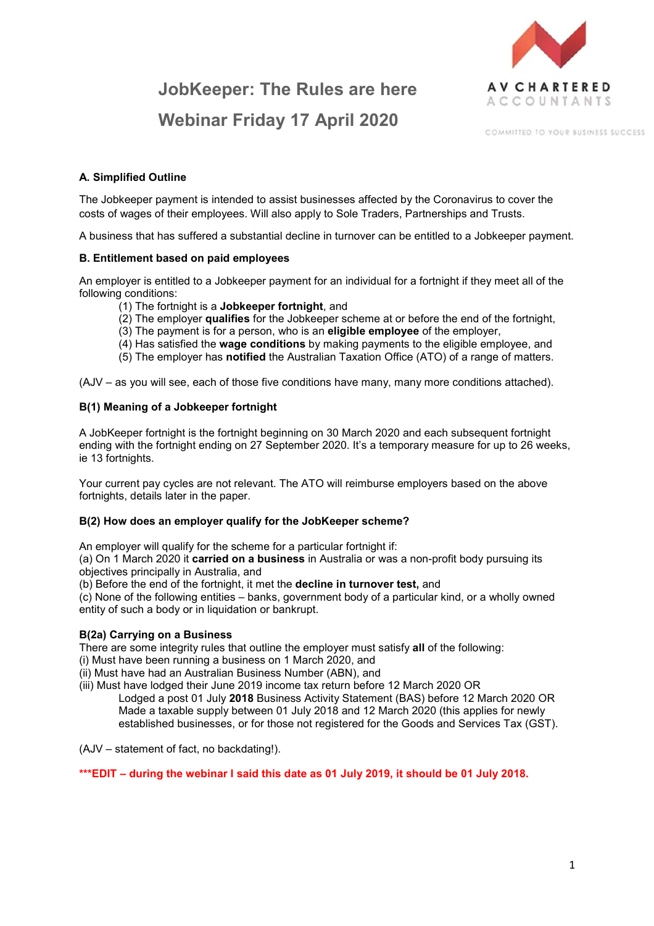# **JobKeeper: The Rules are here Webinar Friday 17 April 2020**



COMMITTED TO YOUR RUSINESS SUCCESS.

# **A. Simplified Outline**

The Jobkeeper payment is intended to assist businesses affected by the Coronavirus to cover the costs of wages of their employees. Will also apply to Sole Traders, Partnerships and Trusts.

A business that has suffered a substantial decline in turnover can be entitled to a Jobkeeper payment.

## **B. Entitlement based on paid employees**

An employer is entitled to a Jobkeeper payment for an individual for a fortnight if they meet all of the following conditions:

- (1) The fortnight is a **Jobkeeper fortnight**, and
- (2) The employer **qualifies** for the Jobkeeper scheme at or before the end of the fortnight,
- (3) The payment is for a person, who is an **eligible employee** of the employer,
- (4) Has satisfied the **wage conditions** by making payments to the eligible employee, and
- (5) The employer has **notified** the Australian Taxation Office (ATO) of a range of matters.

(AJV – as you will see, each of those five conditions have many, many more conditions attached).

## **B(1) Meaning of a Jobkeeper fortnight**

A JobKeeper fortnight is the fortnight beginning on 30 March 2020 and each subsequent fortnight ending with the fortnight ending on 27 September 2020. It's a temporary measure for up to 26 weeks, ie 13 fortnights.

Your current pay cycles are not relevant. The ATO will reimburse employers based on the above fortnights, details later in the paper.

## **B(2) How does an employer qualify for the JobKeeper scheme?**

An employer will qualify for the scheme for a particular fortnight if:

(a) On 1 March 2020 it **carried on a business** in Australia or was a non-profit body pursuing its objectives principally in Australia, and

(b) Before the end of the fortnight, it met the **decline in turnover test,** and

(c) None of the following entities – banks, government body of a particular kind, or a wholly owned entity of such a body or in liquidation or bankrupt.

## **B(2a) Carrying on a Business**

There are some integrity rules that outline the employer must satisfy **all** of the following:

(i) Must have been running a business on 1 March 2020, and

(ii) Must have had an Australian Business Number (ABN), and

(iii) Must have lodged their June 2019 income tax return before 12 March 2020 OR Lodged a post 01 July **2018** Business Activity Statement (BAS) before 12 March 2020 OR Made a taxable supply between 01 July 2018 and 12 March 2020 (this applies for newly established businesses, or for those not registered for the Goods and Services Tax (GST).

(AJV – statement of fact, no backdating!).

## **\*\*\*EDIT – during the webinar I said this date as 01 July 2019, it should be 01 July 2018.**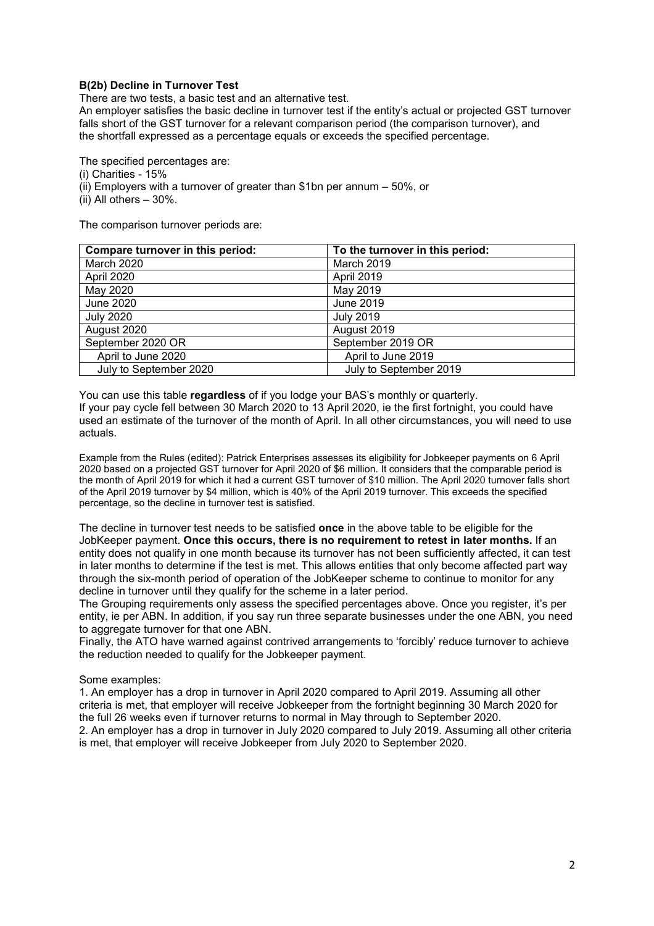## **B(2b) Decline in Turnover Test**

There are two tests, a basic test and an alternative test.

An employer satisfies the basic decline in turnover test if the entity's actual or projected GST turnover falls short of the GST turnover for a relevant comparison period (the comparison turnover), and the shortfall expressed as a percentage equals or exceeds the specified percentage.

The specified percentages are:

(i) Charities - 15%

(ii) Employers with a turnover of greater than \$1bn per annum – 50%, or

 $(iii)$  All others – 30%.

The comparison turnover periods are:

| Compare turnover in this period: | To the turnover in this period: |
|----------------------------------|---------------------------------|
| <b>March 2020</b>                | March 2019                      |
| April 2020                       | April 2019                      |
| May 2020                         | May 2019                        |
| June 2020                        | June 2019                       |
| <b>July 2020</b>                 | <b>July 2019</b>                |
| August 2020                      | August 2019                     |
| September 2020 OR                | September 2019 OR               |
| April to June 2020               | April to June 2019              |
| July to September 2020           | July to September 2019          |

You can use this table **regardless** of if you lodge your BAS's monthly or quarterly. If your pay cycle fell between 30 March 2020 to 13 April 2020, ie the first fortnight, you could have used an estimate of the turnover of the month of April. In all other circumstances, you will need to use actuals.

Example from the Rules (edited): Patrick Enterprises assesses its eligibility for Jobkeeper payments on 6 April 2020 based on a projected GST turnover for April 2020 of \$6 million. It considers that the comparable period is the month of April 2019 for which it had a current GST turnover of \$10 million. The April 2020 turnover falls short of the April 2019 turnover by \$4 million, which is 40% of the April 2019 turnover. This exceeds the specified percentage, so the decline in turnover test is satisfied.

The decline in turnover test needs to be satisfied **once** in the above table to be eligible for the JobKeeper payment. **Once this occurs, there is no requirement to retest in later months.** If an entity does not qualify in one month because its turnover has not been sufficiently affected, it can test in later months to determine if the test is met. This allows entities that only become affected part way through the six-month period of operation of the JobKeeper scheme to continue to monitor for any decline in turnover until they qualify for the scheme in a later period.

The Grouping requirements only assess the specified percentages above. Once you register, it's per entity, ie per ABN. In addition, if you say run three separate businesses under the one ABN, you need to aggregate turnover for that one ABN.

Finally, the ATO have warned against contrived arrangements to 'forcibly' reduce turnover to achieve the reduction needed to qualify for the Jobkeeper payment.

#### Some examples:

1. An employer has a drop in turnover in April 2020 compared to April 2019. Assuming all other criteria is met, that employer will receive Jobkeeper from the fortnight beginning 30 March 2020 for the full 26 weeks even if turnover returns to normal in May through to September 2020.

2. An employer has a drop in turnover in July 2020 compared to July 2019. Assuming all other criteria is met, that employer will receive Jobkeeper from July 2020 to September 2020.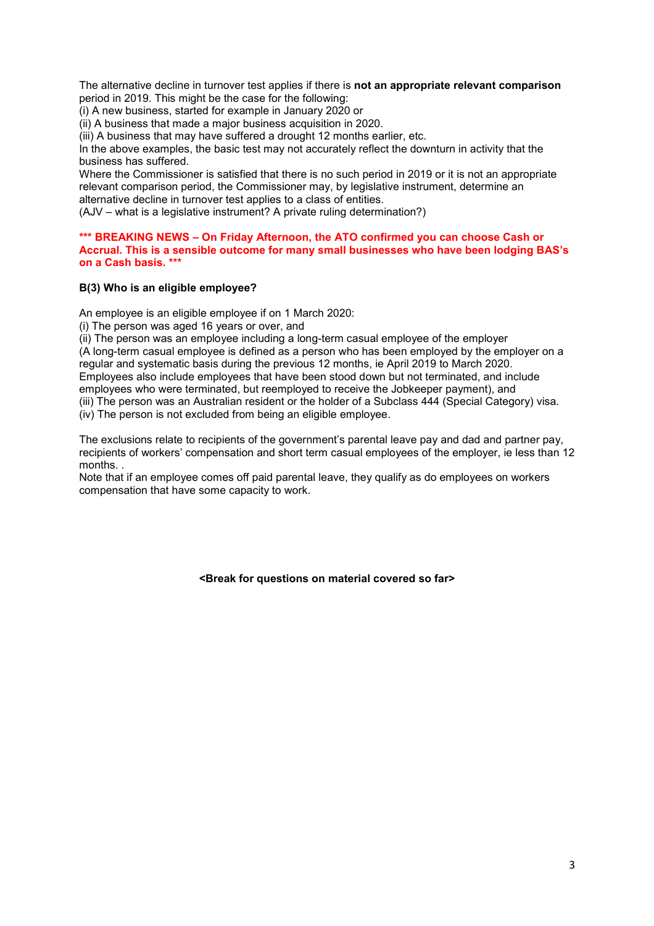The alternative decline in turnover test applies if there is **not an appropriate relevant comparison**  period in 2019. This might be the case for the following:

(i) A new business, started for example in January 2020 or

(ii) A business that made a major business acquisition in 2020.

(iii) A business that may have suffered a drought 12 months earlier, etc.

In the above examples, the basic test may not accurately reflect the downturn in activity that the business has suffered.

Where the Commissioner is satisfied that there is no such period in 2019 or it is not an appropriate relevant comparison period, the Commissioner may, by legislative instrument, determine an alternative decline in turnover test applies to a class of entities.

(AJV – what is a legislative instrument? A private ruling determination?)

#### **\*\*\* BREAKING NEWS – On Friday Afternoon, the ATO confirmed you can choose Cash or Accrual. This is a sensible outcome for many small businesses who have been lodging BAS's on a Cash basis. \*\*\***

## **B(3) Who is an eligible employee?**

An employee is an eligible employee if on 1 March 2020:

(i) The person was aged 16 years or over, and

(ii) The person was an employee including a long-term casual employee of the employer (A long-term casual employee is defined as a person who has been employed by the employer on a regular and systematic basis during the previous 12 months, ie April 2019 to March 2020. Employees also include employees that have been stood down but not terminated, and include employees who were terminated, but reemployed to receive the Jobkeeper payment), and (iii) The person was an Australian resident or the holder of a Subclass 444 (Special Category) visa. (iv) The person is not excluded from being an eligible employee.

The exclusions relate to recipients of the government's parental leave pay and dad and partner pay, recipients of workers' compensation and short term casual employees of the employer, ie less than 12 months. .

Note that if an employee comes off paid parental leave, they qualify as do employees on workers compensation that have some capacity to work.

**<Break for questions on material covered so far>**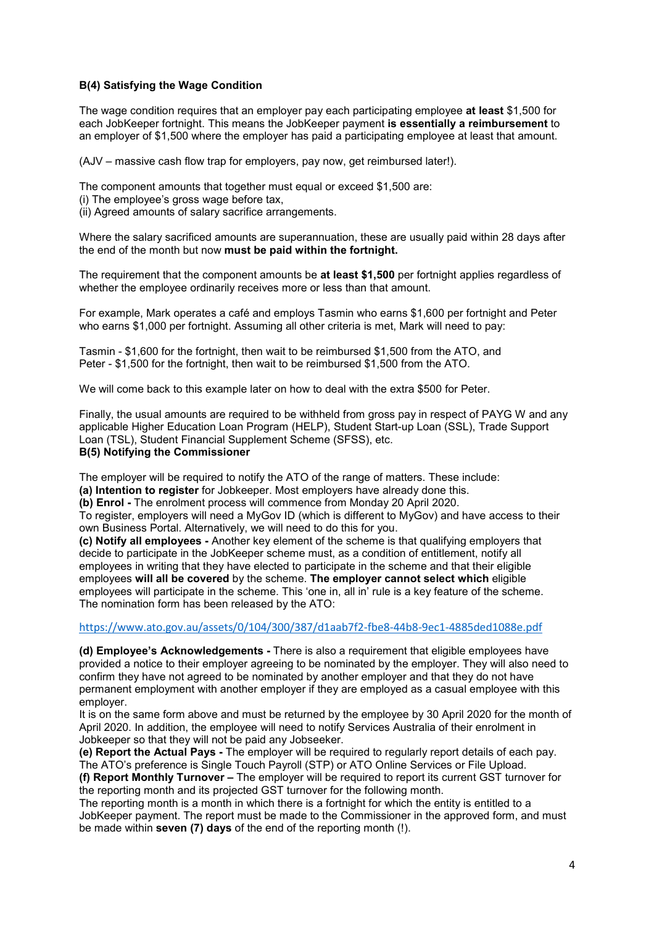## **B(4) Satisfying the Wage Condition**

The wage condition requires that an employer pay each participating employee **at least** \$1,500 for each JobKeeper fortnight. This means the JobKeeper payment **is essentially a reimbursement** to an employer of \$1,500 where the employer has paid a participating employee at least that amount.

(AJV – massive cash flow trap for employers, pay now, get reimbursed later!).

The component amounts that together must equal or exceed \$1,500 are:

- (i) The employee's gross wage before tax,
- (ii) Agreed amounts of salary sacrifice arrangements.

Where the salary sacrificed amounts are superannuation, these are usually paid within 28 days after the end of the month but now **must be paid within the fortnight.** 

The requirement that the component amounts be **at least \$1,500** per fortnight applies regardless of whether the employee ordinarily receives more or less than that amount.

For example, Mark operates a café and employs Tasmin who earns \$1,600 per fortnight and Peter who earns \$1,000 per fortnight. Assuming all other criteria is met, Mark will need to pay:

Tasmin - \$1,600 for the fortnight, then wait to be reimbursed \$1,500 from the ATO, and Peter - \$1,500 for the fortnight, then wait to be reimbursed \$1,500 from the ATO.

We will come back to this example later on how to deal with the extra \$500 for Peter.

Finally, the usual amounts are required to be withheld from gross pay in respect of PAYG W and any applicable Higher Education Loan Program (HELP), Student Start-up Loan (SSL), Trade Support Loan (TSL), Student Financial Supplement Scheme (SFSS), etc. **B(5) Notifying the Commissioner** 

The employer will be required to notify the ATO of the range of matters. These include: **(a) Intention to register** for Jobkeeper. Most employers have already done this.

**(b) Enrol -** The enrolment process will commence from Monday 20 April 2020.

To register, employers will need a MyGov ID (which is different to MyGov) and have access to their own Business Portal. Alternatively, we will need to do this for you.

**(c) Notify all employees -** Another key element of the scheme is that qualifying employers that decide to participate in the JobKeeper scheme must, as a condition of entitlement, notify all employees in writing that they have elected to participate in the scheme and that their eligible employees **will all be covered** by the scheme. **The employer cannot select which** eligible employees will participate in the scheme. This 'one in, all in' rule is a key feature of the scheme. The nomination form has been released by the ATO:

#### https://www.ato.gov.au/assets/0/104/300/387/d1aab7f2-fbe8-44b8-9ec1-4885ded1088e.pdf

**(d) Employee's Acknowledgements -** There is also a requirement that eligible employees have provided a notice to their employer agreeing to be nominated by the employer. They will also need to confirm they have not agreed to be nominated by another employer and that they do not have permanent employment with another employer if they are employed as a casual employee with this employer.

It is on the same form above and must be returned by the employee by 30 April 2020 for the month of April 2020. In addition, the employee will need to notify Services Australia of their enrolment in Jobkeeper so that they will not be paid any Jobseeker.

**(e) Report the Actual Pays -** The employer will be required to regularly report details of each pay. The ATO's preference is Single Touch Payroll (STP) or ATO Online Services or File Upload.

**(f) Report Monthly Turnover –** The employer will be required to report its current GST turnover for the reporting month and its projected GST turnover for the following month.

The reporting month is a month in which there is a fortnight for which the entity is entitled to a JobKeeper payment. The report must be made to the Commissioner in the approved form, and must be made within **seven (7) days** of the end of the reporting month (!).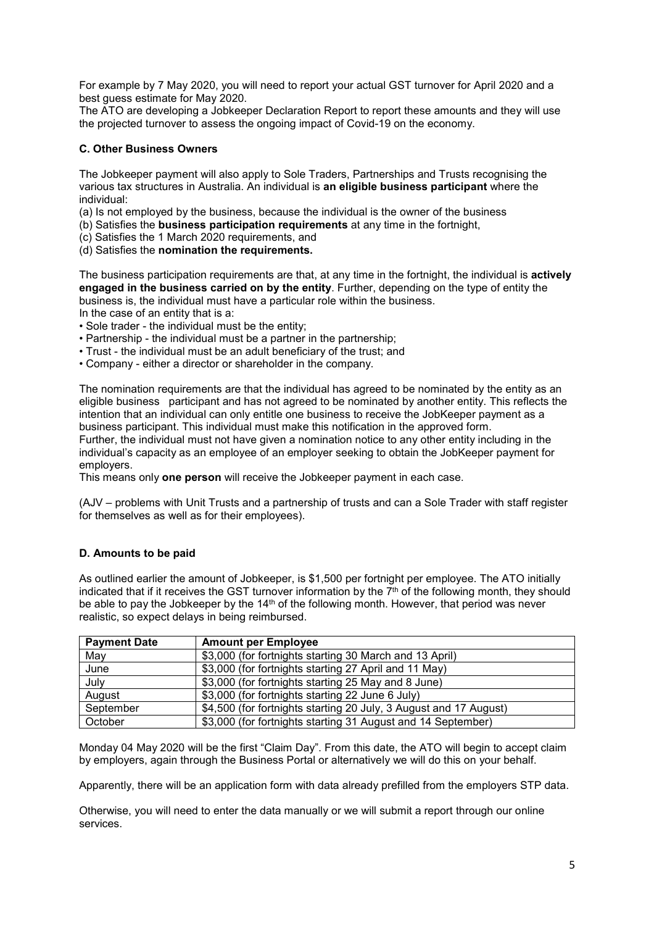For example by 7 May 2020, you will need to report your actual GST turnover for April 2020 and a best guess estimate for May 2020.

The ATO are developing a Jobkeeper Declaration Report to report these amounts and they will use the projected turnover to assess the ongoing impact of Covid-19 on the economy.

#### **C. Other Business Owners**

The Jobkeeper payment will also apply to Sole Traders, Partnerships and Trusts recognising the various tax structures in Australia. An individual is **an eligible business participant** where the individual:

- (a) Is not employed by the business, because the individual is the owner of the business
- (b) Satisfies the **business participation requirements** at any time in the fortnight,
- (c) Satisfies the 1 March 2020 requirements, and
- (d) Satisfies the **nomination the requirements.**

The business participation requirements are that, at any time in the fortnight, the individual is **actively engaged in the business carried on by the entity**. Further, depending on the type of entity the business is, the individual must have a particular role within the business.

In the case of an entity that is a:

- Sole trader the individual must be the entity;
- Partnership the individual must be a partner in the partnership;
- Trust the individual must be an adult beneficiary of the trust; and
- Company either a director or shareholder in the company.

The nomination requirements are that the individual has agreed to be nominated by the entity as an eligible business participant and has not agreed to be nominated by another entity. This reflects the intention that an individual can only entitle one business to receive the JobKeeper payment as a business participant. This individual must make this notification in the approved form.

Further, the individual must not have given a nomination notice to any other entity including in the individual's capacity as an employee of an employer seeking to obtain the JobKeeper payment for employers.

This means only **one person** will receive the Jobkeeper payment in each case.

(AJV – problems with Unit Trusts and a partnership of trusts and can a Sole Trader with staff register for themselves as well as for their employees).

#### **D. Amounts to be paid**

As outlined earlier the amount of Jobkeeper, is \$1,500 per fortnight per employee. The ATO initially indicated that if it receives the GST turnover information by the  $7<sup>th</sup>$  of the following month, they should be able to pay the Jobkeeper by the 14<sup>th</sup> of the following month. However, that period was never realistic, so expect delays in being reimbursed.

| <b>Payment Date</b> | <b>Amount per Employee</b>                                        |
|---------------------|-------------------------------------------------------------------|
| May                 | \$3,000 (for fortnights starting 30 March and 13 April)           |
| June                | \$3,000 (for fortnights starting 27 April and 11 May)             |
| July                | \$3,000 (for fortnights starting 25 May and 8 June)               |
| August              | \$3,000 (for fortnights starting 22 June 6 July)                  |
| September           | \$4,500 (for fortnights starting 20 July, 3 August and 17 August) |
| October             | \$3,000 (for fortnights starting 31 August and 14 September)      |

Monday 04 May 2020 will be the first "Claim Day". From this date, the ATO will begin to accept claim by employers, again through the Business Portal or alternatively we will do this on your behalf.

Apparently, there will be an application form with data already prefilled from the employers STP data.

Otherwise, you will need to enter the data manually or we will submit a report through our online services.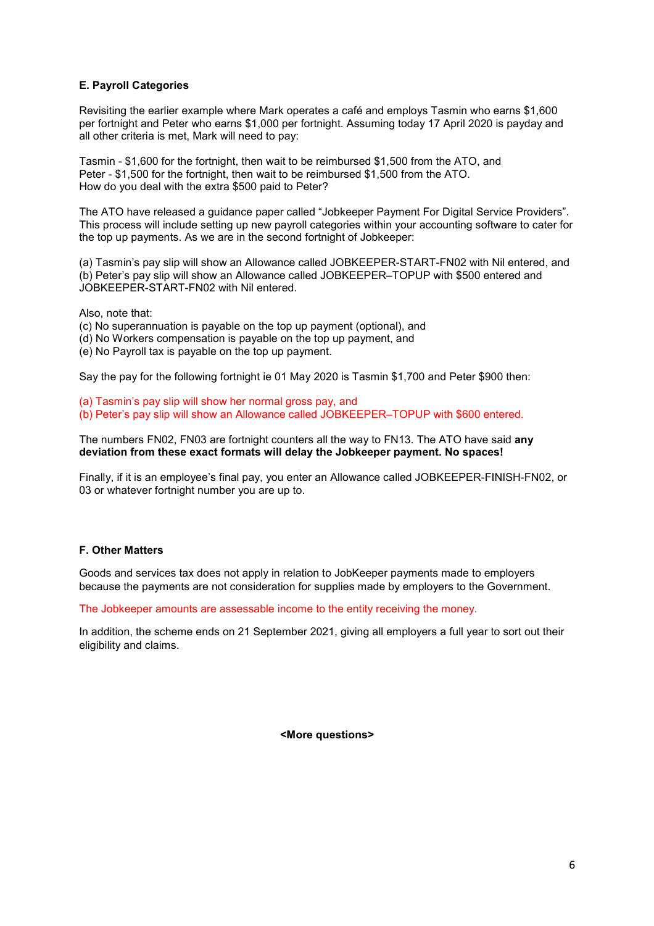## **E. Payroll Categories**

Revisiting the earlier example where Mark operates a café and employs Tasmin who earns \$1,600 per fortnight and Peter who earns \$1,000 per fortnight. Assuming today 17 April 2020 is payday and all other criteria is met, Mark will need to pay:

Tasmin - \$1,600 for the fortnight, then wait to be reimbursed \$1,500 from the ATO, and Peter - \$1,500 for the fortnight, then wait to be reimbursed \$1,500 from the ATO. How do you deal with the extra \$500 paid to Peter?

The ATO have released a guidance paper called "Jobkeeper Payment For Digital Service Providers". This process will include setting up new payroll categories within your accounting software to cater for the top up payments. As we are in the second fortnight of Jobkeeper:

(a) Tasmin's pay slip will show an Allowance called JOBKEEPER-START-FN02 with Nil entered, and (b) Peter's pay slip will show an Allowance called JOBKEEPER–TOPUP with \$500 entered and JOBKEEPER-START-FN02 with Nil entered.

Also, note that:

- (c) No superannuation is payable on the top up payment (optional), and
- (d) No Workers compensation is payable on the top up payment, and
- (e) No Payroll tax is payable on the top up payment.

Say the pay for the following fortnight ie 01 May 2020 is Tasmin \$1,700 and Peter \$900 then:

(a) Tasmin's pay slip will show her normal gross pay, and

(b) Peter's pay slip will show an Allowance called JOBKEEPER–TOPUP with \$600 entered.

#### The numbers FN02, FN03 are fortnight counters all the way to FN13. The ATO have said **any deviation from these exact formats will delay the Jobkeeper payment. No spaces!**

Finally, if it is an employee's final pay, you enter an Allowance called JOBKEEPER-FINISH-FN02, or 03 or whatever fortnight number you are up to.

## **F. Other Matters**

Goods and services tax does not apply in relation to JobKeeper payments made to employers because the payments are not consideration for supplies made by employers to the Government.

The Jobkeeper amounts are assessable income to the entity receiving the money.

In addition, the scheme ends on 21 September 2021, giving all employers a full year to sort out their eligibility and claims.

**<More questions>**